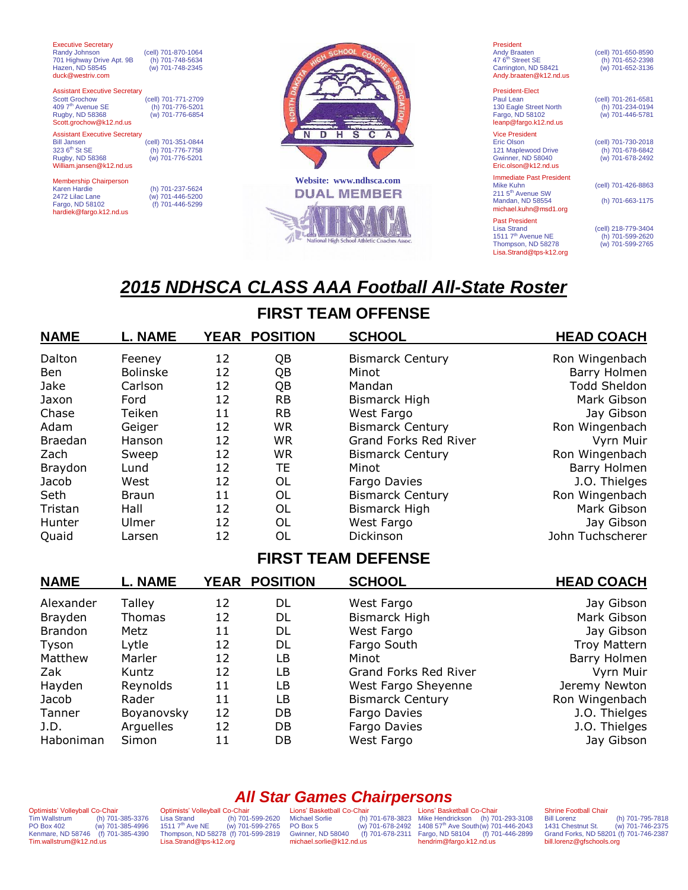| <b>Executive Secretary</b><br>Randy Johnson | (cell) 701-870-1064 | SCHOOL                  |
|---------------------------------------------|---------------------|-------------------------|
| 701 Highway Drive Apt. 9B                   | (h) 701-748-5634    |                         |
| Hazen, ND 58545                             | (w) 701-748-2345    |                         |
| duck@westriv.com                            |                     |                         |
| <b>Assistant Executive Secretary</b>        |                     |                         |
| <b>Scott Grochow</b>                        | (cell) 701-771-2709 |                         |
| 409 7 <sup>th</sup> Avenue SE               |                     |                         |
|                                             | (h) 701-776-5201    |                         |
| Rugby, ND 58368                             | (w) 701-776-6854    |                         |
| Scott.grochow@k12.nd.us                     |                     |                         |
| <b>Assistant Executive Secretary</b>        |                     |                         |
| <b>Bill Jansen</b>                          | (cell) 701-351-0844 |                         |
| 323 6 <sup>th</sup> St SE                   | (h) 701-776-7758    |                         |
| Rugby, ND 58368                             | (w) 701-776-5201    |                         |
| William.jansen@k12.nd.us                    |                     |                         |
| <b>Membership Chairperson</b>               |                     | Website: www.ndhsca.com |
| <b>Karen Hardie</b>                         | (h) 701-237-5624    |                         |
| 2472 Lilac Lane                             | (w) 701-446-5200    | <b>DUAL MEMBER</b>      |
| Fargo, ND 58102                             | (f) 701-446-5299    |                         |
|                                             |                     |                         |

hardiek@fargo.k12.nd.us

President-Elect Vice President<br>Eric Olson Eric.olson@k12.nd.us

President<br>Andy Braaten<br>47 6<sup>th</sup> Street SE Andy Braaten (cell) 701-650-8590 47 6th Street SE (h) 701-652-2398 Carrington, ND 58421 (w) 701-652-3136 [Andy.braaten@k12.nd.us](mailto:Andy.braaten@k12.nd.us)

**Immediate Past President**<br>Mike Kuhn

[michael.kuhn@msd1.org](mailto:ralph.manley@sendit.nodak.edu) Past President<br>Lisa Strand

211 5<sup>th</sup> Avenue SW

Paul Lean (cell) 701-261-6581<br>
130 Eagle Street North (h) 701-234-0194 130 Eagle Street North (h) 701-234-0194<br>
Fargo, ND 58102 (w) 701-446-5781 Fargo, ND 58102 (w) 701-446-5781 leanp@fargo.k12.nd.us

(cell) 701-730-2018<br>
(h) 701-678-6842<br>
(w) 701-678-2492 121 Maplewood Drive (h) 701-678-6842 Gwinner, ND 58040 (w) 701-678-2492

(cell) 701-426-8863

Mandan, ND 58554 (h) 701-663-1175

(cell) 218-779-3404<br>
(h) 701-599-2620<br>
(w) 701-599-2765 1511 7th Avenue NE (h) 701-599-2620 Thompson, ND 58278 (w) 701-599-2765 [Lisa.Strand@tps-k12.org](mailto:Lisa.Strand@tps-k12.org)

# *2015 NDHSCA CLASS AAA Football All-State Roster*

## **FIRST TEAM OFFENSE**

| <b>NAME</b>    | <b>L. NAME</b>  |    | YEAR POSITION | <b>SCHOOL</b>           | <b>HEAD COACH</b>   |
|----------------|-----------------|----|---------------|-------------------------|---------------------|
| Dalton         | Feeney          | 12 | QB            | <b>Bismarck Century</b> | Ron Wingenbach      |
| Ben            | <b>Bolinske</b> | 12 | QB            | Minot                   | Barry Holmen        |
| Jake           | Carlson         | 12 | QB            | Mandan                  | <b>Todd Sheldon</b> |
| Jaxon          | Ford            | 12 | <b>RB</b>     | Bismarck High           | Mark Gibson         |
| Chase          | Teiken          | 11 | <b>RB</b>     | West Fargo              | Jay Gibson          |
| Adam           | Geiger          | 12 | <b>WR</b>     | <b>Bismarck Century</b> | Ron Wingenbach      |
| <b>Braedan</b> | Hanson          | 12 | <b>WR</b>     | Grand Forks Red River   | Vyrn Muir           |
| Zach           | Sweep           | 12 | <b>WR</b>     | <b>Bismarck Century</b> | Ron Wingenbach      |
| Braydon        | Lund            | 12 | TE            | Minot                   | Barry Holmen        |
| Jacob          | West            | 12 | OL            | Fargo Davies            | J.O. Thielges       |
| Seth           | <b>Braun</b>    | 11 | OL            | <b>Bismarck Century</b> | Ron Wingenbach      |
| Tristan        | Hall            | 12 | OL            | <b>Bismarck High</b>    | Mark Gibson         |
| Hunter         | Ulmer           | 12 | OL            | West Fargo              | Jay Gibson          |
| Quaid          | Larsen          | 12 | OL            | Dickinson               | John Tuchscherer    |

### **FIRST TEAM DEFENSE**

| <b>NAME</b>    | L. NAME    | YEAR | <b>POSITION</b> | <b>SCHOOL</b>           | <b>HEAD COACH</b>   |
|----------------|------------|------|-----------------|-------------------------|---------------------|
| Alexander      | Talley     | 12   | DL              | West Fargo              | Jay Gibson          |
| Brayden        | Thomas     | 12   | DL              | Bismarck High           | Mark Gibson         |
| <b>Brandon</b> | Metz       | 11   | DL              | West Fargo              | Jay Gibson          |
| Tyson          | Lytle      | 12   | DL              | Fargo South             | <b>Troy Mattern</b> |
| Matthew        | Marler     | 12   | LВ              | Minot                   | Barry Holmen        |
| Zak            | Kuntz      | 12   | LB.             | Grand Forks Red River   | Vyrn Muir           |
| Hayden         | Reynolds   | 11   | LB.             | West Fargo Sheyenne     | Jeremy Newton       |
| Jacob          | Rader      | 11   | LB.             | <b>Bismarck Century</b> | Ron Wingenbach      |
| Tanner         | Boyanovsky | 12   | DB              | Fargo Davies            | J.O. Thielges       |
| J.D.           | Arquelles  | 12   | DB.             | Fargo Davies            | J.O. Thielges       |
| Haboniman      | Simon      | 11   | DB              | West Fargo              | Jay Gibson          |

Optimists' Volleyball Co-Chair Tim Wallstrum (h) 701-385-3376 PO Box 402 (w) 701-385-4996 Kenmare, ND 58746 (f) 701-385-4390 Tim.wallstrum@k12.nd.us

Optimists' Volleyball Co-Chair<br>Lisa Strand (h) 701 Lisa Strand (h) 701-599-2620 1511 7th Ave NE (w) 701-599-2765 Thompson, ND 58278 (f) 701-599-2819 [Lisa.Strand@tps-k12.org](mailto:Lisa.Strand@tps-k12.org)

*All Star Games Chairpersons* Lions' Basketball Co-Chair<br>Michael Sorlie (h)<br>PO Box 5 (w) Gwinner, ND 58040 michael.sorlie@k12.nd.us

Michael Sorlie (h) 701-678-3823 PO Box 5 (w) 701-678-2492 Mike Hendrickson (h) 701-293-3108 1408 57th Ave South(w) 701-446-2043 Fargo, ND 58104 (f) 701-446-2899 hendrim@fargo.k12.nd.us Lions' Basketball Co-Chair

Shrine Football Chair<br>Bill Lorenz

Bill Lorenz (h) 701-795-7818 1431 Chestnut St. (w) 701-746-2375 Grand Forks, ND 58201 (f) 701-746-2387 bill.lorenz@gfschools.org